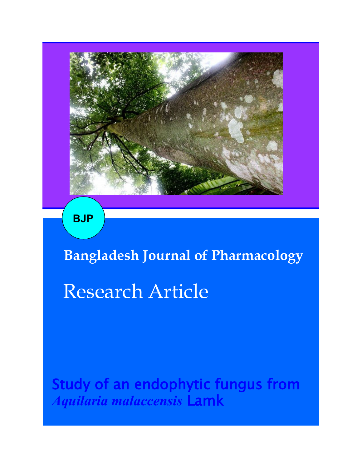

**BJP**

**Bangladesh Journal of Pharmacology**  Research Article

Study of an endophytic fungus from *Aquilaria malaccensis* Lamk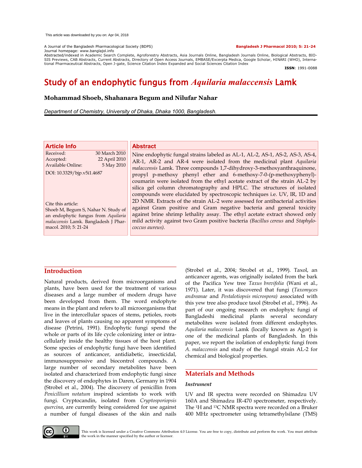A Journal of the Bangladesh Pharmacological Society (BDPS) **Bangladesh J Pharmacol 2010; 5: 21-24**

#### Journal homepage: www.banglajol.info

Abstracted/indexed in Academic Search Complete, Agroforestry Abstracts, Asia Journals Online, Bangladesh Journals Online, Biological Abstracts, BIO-<br>SIS Previews, CAB Abstracts, Current Abstracts, Directory of Open Access tional Pharmaceutical Abstracts, Open J-gate, Science Citation Index Expanded and Social Sciences Citation Index

**ISSN**: 1991-0088

# Study of an endophytic fungus from *Aquilaria malaccensis* Lamk

# **Mohammad Shoeb, Shahanara Begum and Nilufar Nahar**

*Department of Chemistry, University of Dhaka, Dhaka 1000, Bangladesh.*

| <b>Article Info</b>        |               |  |
|----------------------------|---------------|--|
| Received:                  | 30 March 2010 |  |
| Accepted:                  | 22 April 2010 |  |
| Available Online:          | 5 May 2010    |  |
| DOI: 10.3329/bjp.v5i1.4687 |               |  |

Cite this article: Shoeb M, Begum S, Nahar N. Study of an endophytic fungus from *Aquilaria malaccensis* Lamk. Bangladesh J Pharmacol. 2010; 5: 21-24

# **Abstract**

Nine endophytic fungal strains labeled as AL-1, AL-2, AS-1, AS-2, AS-3, AS-4, AR-1, AR-2 and AR-4 were isolated from the medicinal plant *Aquilaria malaccensis* Lamk. Three compounds 1,7-dihydroxy-3-methoxyanthraquinone, propyl p-methoxy phenyl ether and 6-methoxy-7-0-(p-methoxyphenyl) coumarin were isolated from the ethyl acetate extract of the strain AL-2 by silica gel column chromatography and HPLC. The structures of isolated compounds were elucidated by spectroscopic techniques i.e. UV, IR, 1D and 2D NMR. Extracts of the strain AL-2 were assessed for antibacterial activities against Gram positive and Gram negative bacteria and general toxicity against brine shrimp lethality assay. The ethyl acetate extract showed only mild activity against two Gram positive bacteria *(Bacillus cereus* and *Staphylococcus aureus).*

# **Introduction**

Natural products, derived from microorganisms and plants, have been used for the treatment of various diseases and a large number of modern drugs have been developed from them. The word endophyte means in the plant and refers to all microorganisms that live in the intercellular spaces of stems, petioles, roots and leaves of plants causing no apparent symptoms of disease (Petrini, 1991). Endophytic fungi spend the whole or parts of its life cycle colonizing inter or intracellularly inside the healthy tissues of the host plant. Some species of endophytic fungi have been identified as sources of anticancer, antidiabetic, insecticidal, immunosuppressive and biocontrol compounds. A large number of secondary metabolites have been isolated and characterized from endophytic fungi since the discovery of endophytes in Daren, Germany in 1904 (Strobel et al., 2004). The discovery of penicillin from *Penicillium notatum* inspired scientists to work with fungi. Cryptocandin, isolated from *Cryptosporiopsis quercina*, are currently being considered for use against a number of fungal diseases of the skin and nails

(Strobel et al., 2004; Strobel et al., 1999). Taxol, an anticancer agents, was originally isolated from the bark of the Pacifica Yew tree *Taxus brevifolia* (Wani et al., 1971). Later, it was discovered that fungi (*Taxomyces andreanae* and *Pestalotiopsis microspora)* associated with this yew tree also produce taxol (Strobel et al., 1996). As part of our ongoing research on endophytc fungi of Bangladeshi medicinal plants several secondary metabolites were isolated from different endophytes. *Aquilaria malaccensis* Lamk (locally known as Agor) is one of the medicinal plants of Bangladesh. In this paper, we report the isolation of endophytic fungi from *A. malaccensis* and study of the fungal strain AL-2 for chemical and biological properties.

# **Materials and Methods**

# *Instrument*

UV and IR spectra were recorded on Shimadzu UV 160A and Shimadzu IR-470 spectrometer, respectively. The 1H and 13C NMR spectra were recorded on a Bruker 400 MHz spectrometer using tetramethylsilane (TMS)



This work is licensed under a Creative Commons Attribution 4.0 License. You are free to copy, distribute and perform the work. You must attribute the work in the manner specified by the author or licensor.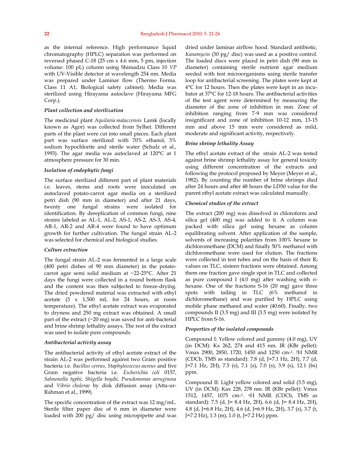as the internal reference. High performance liquid chromatography (HPLC) separation was performed on reversed phased C-18 (25 cm x 4.6 mm, 5 pm, injection volume: 100 pL) column using Shimadzu Class 10 *VP* with UV-Visible detector at wavelength 254 nm. Media was prepared under Laminar flow (Thermo Forma. Class 11 A1; Biological safety cabinet). Media was sterilized using Hirayama autoclave (Hirayama MFG Corp.).

#### *Plant collection and sterilization*

The medicinal plant *Aquilaria malaccensis* Lamk (locally known as Agor) was collected from Sylhet. Different parts of the plant were cut into small pieces. Each plant part was surface sterilized with 70% ethanol, 3% sodium hypochlorite and sterile water (Schulz et al., 1993). The agar media was autoclaved at 120°C at 1 atmosphere pressure for 30 min.

#### *Isolation of endophytic fungi*

The surface sterilized different part of plant materials i.e. leaves, stems and roots were inoculated on autoclaved potato-carrot agar media on a sterilized petri dish (90 mm in diameter) and after 21 days, twenty one fungal strains were isolated for identification. By dereplication of common fungi, nine strains labeled as AL-1, AL-2, AS-1, AS-2, AS-3, AS-4, AR-1, AR-2 and AR-4 were found to have optimum growth for further cultivation. The fungal strain AL-2 was selected for chemical and biological studies.

#### *Culture extraction*

The fungal strain AL-2 was fermented in a large scale (400 petri dishes of 90 mm diameter) in the potatocarrot agar semi solid medium at ~22-25°C. After 21 days the fungi were collected in a round bottom flask and the content was then subjected to freeze-drying. The dried powdered material was extracted with ethyl acetate (3 x 1,500 mL for 24 hours, at room temperature). The ethyl acetate extract was evaporated to dryness and 250 mg extract was obtained. A small part of the extract  $(\sim 20 \text{ mg})$  was saved for anti-bacterial and brine shrimp lethality assays. The rest of the extract was used to isolate pure compounds.

#### *Antibacterial activity assay*

The antibacterial activity of ethyl acetate extract of the strain AL-2 was performed against two Gram positive bacteria i.e. *Bacillus cereus, Staphylococcus aureus* and five Gram negative bacteria i.e. *Escherichia coli* 0157, *Salmonella typhi, Shigella boydii, Pseudomonas aeruginosa* and *Vibrio cholerae* by disk diffusion assay (Atta-ur-Rahman et al., 1999).

The specific concentration of the extract was 12 mg/mL. Sterile filter paper disc of 6 mm in diameter were loaded with 200 pg/ disc using micropipette and was dried under laminar airflow hood. Standard antibiotic*, Kanamycin* (30 pg/ disc) was used as a positive control. The loaded discs were placed in petri dish (90 mm in diameter) containing sterile nutrient agar medium seeded with test microorganisms using sterile transfer loop for antibacterial screening. The plates were kept at 4°C for 12 hours. Then the plates were kept in an incubator at 37°C for 12-18 hours. The antibacterial activities of the test agent were determined by measuring the diameter of the zone of inhibition in mm. Zone of inhibition ranging from 7-9 mm was considered insignificant and zone of inhibition 10-12 mm, 13-15 mm and above 15 mm were considered as mild, moderate and significant activity, respectively.

### *Brine shrimp lethality Assay*

The ethyl acetate extract of the strain AL-2 was tested against brine shrimp lethality assay for general toxicity using different concentration of the extracts and following the protocol proposed by Meyer (Meyer et al., 1982). By counting the number of brine shrimps died after 24 hours and after 48 hours the LD50 value for the parent ethyl acetate extract was calculated manually.

#### *Chemical studies of the extract*

The extract (200 mg) was dissolved in chloroform and silica gel (400 mg) was added to it. A column was packed with silica gel using hexane as column equilibrating solvent. After application of the sample, solvents of increasing polarities from 100% hexane to dichloromethane (DCM) and finally 50% methanol with dichloromethane were used for elution. The fractions were collected in test tubes and on the basis of their  $R_f$ values on TLC, sixteen fractions were obtained. Among them one fraction gave single spot in TLC and collected as pure compound I (4.0 mg) after washing with *n*hexane. One of the fractions S-16 (20 mg) gave three spots with tailing in TLC (6% methanol in dichloromethane) and was purified by HPLC using mobile phase methanol and water (40:60). Finally, two compounds II (3.5 mg) and III (3.5 mg) were isolated by HPLC from S-16.

#### *Properties of the isolated compounds*

Compound I: Yellow colored and gummy (4.0 mg), UV (in DCM): Kx 262, 274 and 415 nm. IR (KBr pellet): Vmax 2900, 2850, 1720, 1450 and 1250 cm-1. !H NMR (CDCb, TMS as standard): 7.8 (d, J=7.1 Hz, 2H), 7.7 (d, J=7.1 Hz, 2H), 7.5 (s), 7.1 (s), 7.0 (s), 3.9 (s), 12.1 (bs) ppm.

Compound II: Light yellow colored and solid (3.5 mg), UV (in DCM): Kax 228, 278 nm. IR (KBr pellet): Vmax 1512, 1457, 1075 cm-1. <sup>a</sup>H NMR (CDCb, TMS as standard): 7.5 (d, J= 8.4 Hz, 2H), 6.6 (d, J= 8.4 Hz, 2H), 4.8 (d, J=6.8 Hz, 2H), 4.6 (d, J=6.9 Hz, 2H), 3.7 (s), 3.7 (t, J=7.2 Hz), 1.3 (m), 1.0 (t, J=7.2 Hz) ppm.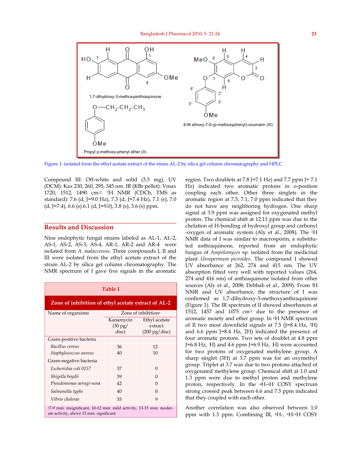

Figure 1: isolated from the ethyl acetate extract of the strain AL-2 by silica gel column chromatography and HPLC

Compound III: Off-white and solid (3.5 mg), UV (DCM): Kax 230, 260, 295, 345 nm. IR (KBr pellet): Vmax 1720, 1512, 1490 cm-1. !H NMR (CDCb, TMS as standard): 7.6 (d, J=9.0 Hz), 7.3 (d, J=7.4 Hz), 7.1 (s), 7.0  $(d, J=7.4)$ , 6.6 (s) 6.1 (d, J=9.0), 3.8 (s), 3.6 (s) ppm.

# **Results and Discussion**

Nine endophytic fungal strains labeled as AL-1, AL-2, AS-1, AS-2, AS-3, AS-4, AR-1, AR-2 and AR-4 were isolated from *A. malaccensis.* Three compounds I, II and III were isolated from the ethyl acetate extract of the strain AL-2 by silica gel column chromatography. The NMR spectrum of I gave five signals in the aromatic

| Table I                                                                                                     |                                         |                                                     |  |
|-------------------------------------------------------------------------------------------------------------|-----------------------------------------|-----------------------------------------------------|--|
| Zone of inhibition of ethyl acetate extract of AL-2                                                         |                                         |                                                     |  |
| Name of organisms                                                                                           | Zone of inhibition <sup>a</sup>         |                                                     |  |
|                                                                                                             | Kanamycin<br>$(30 \text{ pg})$<br>disc) | Ethyl acetate<br>extract<br>$(200 \text{ pg/disc})$ |  |
| Gram-positive bacteria                                                                                      |                                         |                                                     |  |
| Bacillus cereus                                                                                             | 36                                      | 12                                                  |  |
| Staphylococcus aureus                                                                                       | 40                                      | 10                                                  |  |
| Gram-negative bacteria                                                                                      |                                         |                                                     |  |
| Escherichia coli 0157                                                                                       | 37                                      | $\Omega$                                            |  |
| Shigella boydii                                                                                             | 39                                      | $\Omega$                                            |  |
| Pseudomonas aerugi-nosa                                                                                     | 42                                      | $\Omega$                                            |  |
| Salmonella typhi                                                                                            | 40                                      | $\Omega$                                            |  |
| Vibrio cholerae                                                                                             | 35                                      | 9                                                   |  |
| a7-9 mm: insignificant, 10-12 mm: mild activity, 13-15 mm: moder-<br>ate activity, above 15 mm: significant |                                         |                                                     |  |

region. Two doublets at 7.8 J=7.1 Hz) and 7.7 ppm J= 7.1 Hz) indicated two aromatic protons in o-position coupling each other. Other three singlets in the aromatic region at 7.5, 7.1, 7.0 ppm indicated that they do not have any neighboring hydrogen. One sharp signal at 3.9 ppm was assigned for oxygenated methyl proton. The chemical shift at 12.11 ppm was due to the chelation of H-bonding of hydroxyl group and carbonyl -oxygen of aromatic system (Aly et al., 2008). The 1H NMR data of I was similar to macrosporin, a substituted anthraquinone, reported from an endophytic fungus of *Ampelomyces* sp. isolated from the medicinal plant *Urospermum picroides.* The compound I showed UV absorbance at 262, 274 and 415 nm. The UV absorption fitted very well with reported values (264, 274 and 416 nm) of anthraquinone isolated from other sources (Aly et al., 2008; Debbab et al., 2009). From JH NMR and UV absorbance, the structure of I was confirmed as 1,7-dihydroxy-3-methoxyanthraquinone (Figure 1). The IR spectrum of II showed absorbances at 1512, 1457 and 1075 cm-1 due to the presence of aromatic moiety and ether group. In aH NMR spectrum of II two most downfield signals at 7.5 (J=8.4 Hz, 2H) and 6.6 ppm J=8.4 Hz, 2H) indicated the presence of four aromatic protons. Two sets of doublet at 4.8 ppm J=6.8 Hz, :H) and 4.6 ppm J=6.9 Hz, :H) were accounted for two protons of oxygenated methylene group. A sharp singlet (3H) at 3.7 ppm was for an oxymethyl group. Triplet at 3.7 was due to two protons attached of oxygenated methylene group. Chemical shift at 1.0 and 1.3 ppm were due to methyl proton and methylene proton, respectively. In the aH-aH COSY spectrum strong crossed peak between 6.6 and 7.5 ppm indicated that they coupled with each other.

Another correlation was also observed between 1.0 ppm with 1.3 ppm. Combining IR, aH-, <sup>a</sup>H-aH COSY